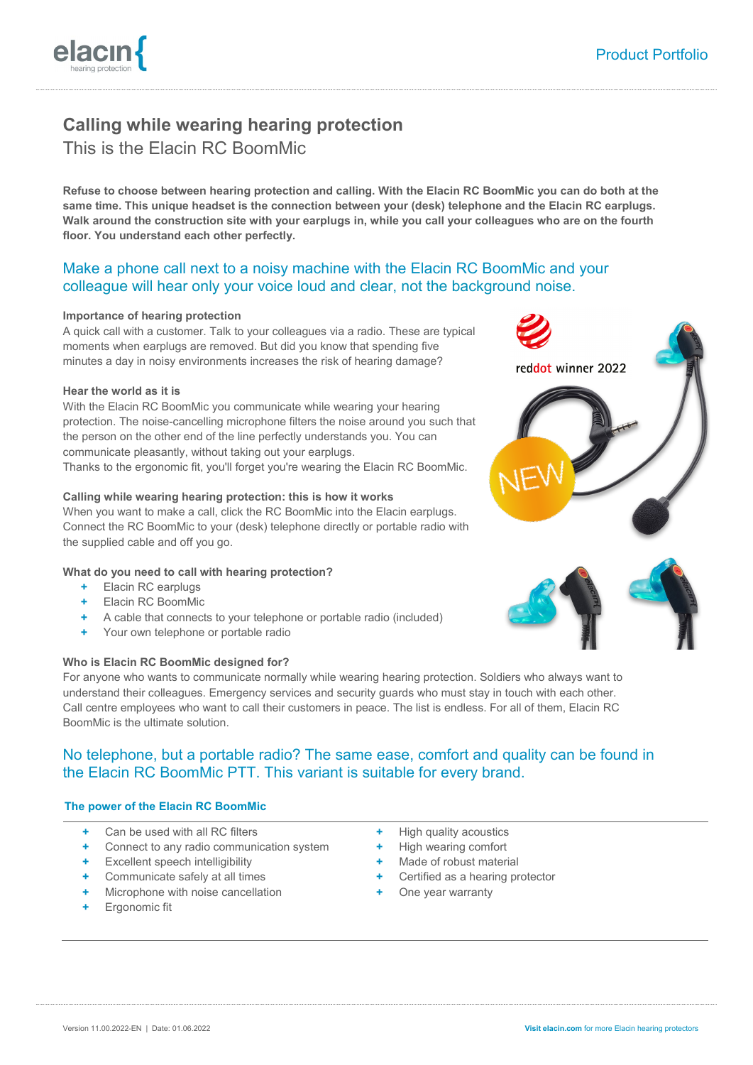# **Calling while wearing hearing protection** This is the Elacin RC BoomMic

**Refuse to choose between hearing protection and calling. With the Elacin RC BoomMic you can do both at the same time. This unique headset is the connection between your (desk) telephone and the Elacin RC earplugs. Walk around the construction site with your earplugs in, while you call your colleagues who are on the fourth floor. You understand each other perfectly.**

## Make a phone call next to a noisy machine with the Elacin RC BoomMic and your colleague will hear only your voice loud and clear, not the background noise.

## **Importance of hearing protection**

A quick call with a customer. Talk to your colleagues via a radio. These are typical moments when earplugs are removed. But did you know that spending five minutes a day in noisy environments increases the risk of hearing damage?

#### **Hear the world as it is**

With the Elacin RC BoomMic you communicate while wearing your hearing protection. The noise-cancelling microphone filters the noise around you such that the person on the other end of the line perfectly understands you. You can communicate pleasantly, without taking out your earplugs. Thanks to the ergonomic fit, you'll forget you're wearing the Elacin RC BoomMic.

## **Calling while wearing hearing protection: this is how it works**

When you want to make a call, click the RC BoomMic into the Elacin earplugs. Connect the RC BoomMic to your (desk) telephone directly or portable radio with the supplied cable and off you go.

## **What do you need to call with hearing protection?**

- **+** Elacin RC earplugs
- **+** Elacin RC BoomMic
- **+** A cable that connects to your telephone or portable radio (included)
- **+** Your own telephone or portable radio

## **Who is Elacin RC BoomMic designed for?**

For anyone who wants to communicate normally while wearing hearing protection. Soldiers who always want to understand their colleagues. Emergency services and security guards who must stay in touch with each other. Call centre employees who want to call their customers in peace. The list is endless. For all of them, Elacin RC BoomMic is the ultimate solution.

## No telephone, but a portable radio? The same ease, comfort and quality can be found in the Elacin RC BoomMic PTT. This variant is suitable for every brand.

### **The power of the Elacin RC BoomMic**

- **+** Can be used with all RC filters
- **+** Connect to any radio communication system
- **Excellent speech intelligibility**
- **+** Communicate safely at all times
- **+** Microphone with noise cancellation
- **+** Ergonomic fit
- **+** High quality acoustics
- **+** High wearing comfort
- **+** Made of robust material
- **+** Certified as a hearing protector
- **+** One year warranty





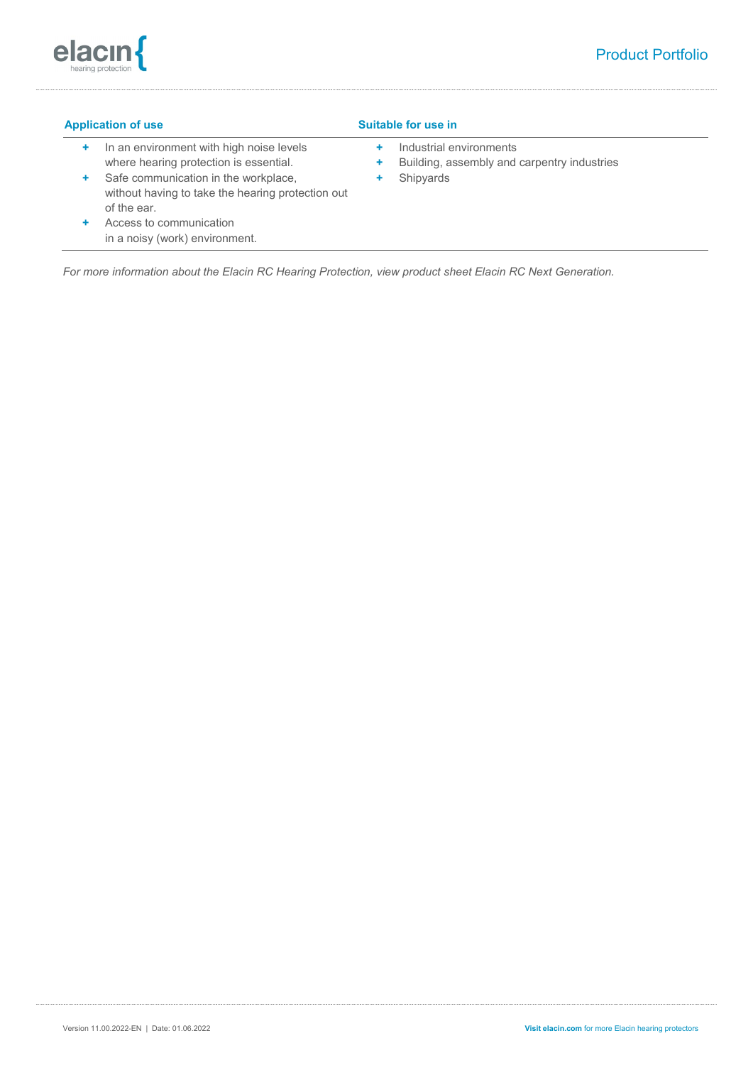

## **Application of use Suitable for use in**

- **+** In an environment with high noise levels where hearing protection is essential.
- **+** Safe communication in the workplace, without having to take the hearing protection out of the ear.
- **+** Access to communication in a noisy (work) environment.
- **+** Industrial environments
- **+** Building, assembly and carpentry industries
- **+** Shipyards

*For more information about the Elacin RC Hearing Protection, view product sheet Elacin RC Next Generation.*